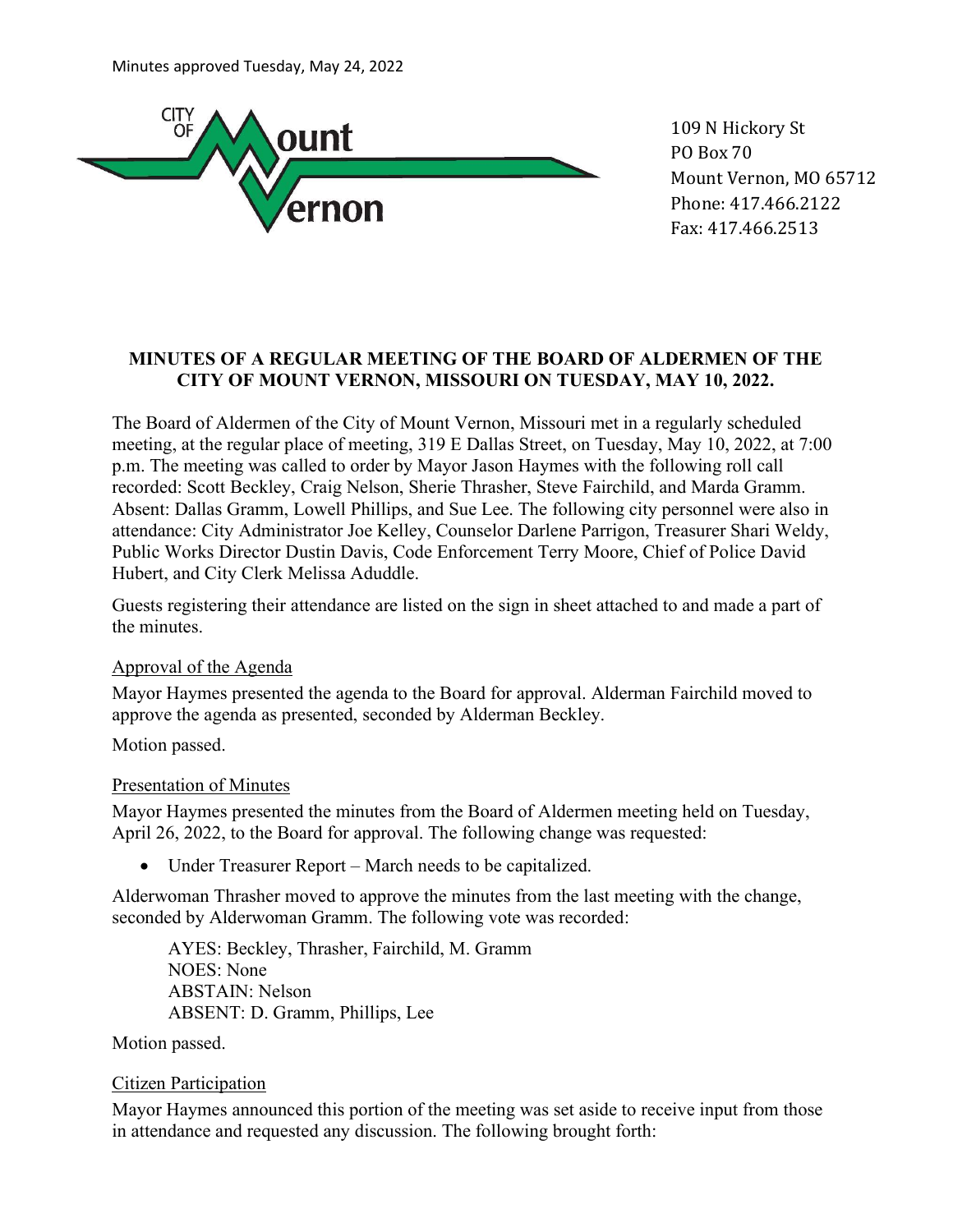

109 N Hickory St PO Box 70 Mount Vernon, MO 65712 Phone: 417.466.2122 Fax: 417.466.2513

### MINUTES OF A REGULAR MEETING OF THE BOARD OF ALDERMEN OF THE CITY OF MOUNT VERNON, MISSOURI ON TUESDAY, MAY 10, 2022.

The Board of Aldermen of the City of Mount Vernon, Missouri met in a regularly scheduled meeting, at the regular place of meeting, 319 E Dallas Street, on Tuesday, May 10, 2022, at 7:00 p.m. The meeting was called to order by Mayor Jason Haymes with the following roll call recorded: Scott Beckley, Craig Nelson, Sherie Thrasher, Steve Fairchild, and Marda Gramm. Absent: Dallas Gramm, Lowell Phillips, and Sue Lee. The following city personnel were also in attendance: City Administrator Joe Kelley, Counselor Darlene Parrigon, Treasurer Shari Weldy, Public Works Director Dustin Davis, Code Enforcement Terry Moore, Chief of Police David Hubert, and City Clerk Melissa Aduddle.

Guests registering their attendance are listed on the sign in sheet attached to and made a part of the minutes.

### Approval of the Agenda

Mayor Haymes presented the agenda to the Board for approval. Alderman Fairchild moved to approve the agenda as presented, seconded by Alderman Beckley.

Motion passed.

#### Presentation of Minutes

Mayor Haymes presented the minutes from the Board of Aldermen meeting held on Tuesday, April 26, 2022, to the Board for approval. The following change was requested:

Under Treasurer Report – March needs to be capitalized.

Alderwoman Thrasher moved to approve the minutes from the last meeting with the change, seconded by Alderwoman Gramm. The following vote was recorded:

AYES: Beckley, Thrasher, Fairchild, M. Gramm NOES: None ABSTAIN: Nelson ABSENT: D. Gramm, Phillips, Lee

Motion passed.

#### Citizen Participation

Mayor Haymes announced this portion of the meeting was set aside to receive input from those in attendance and requested any discussion. The following brought forth: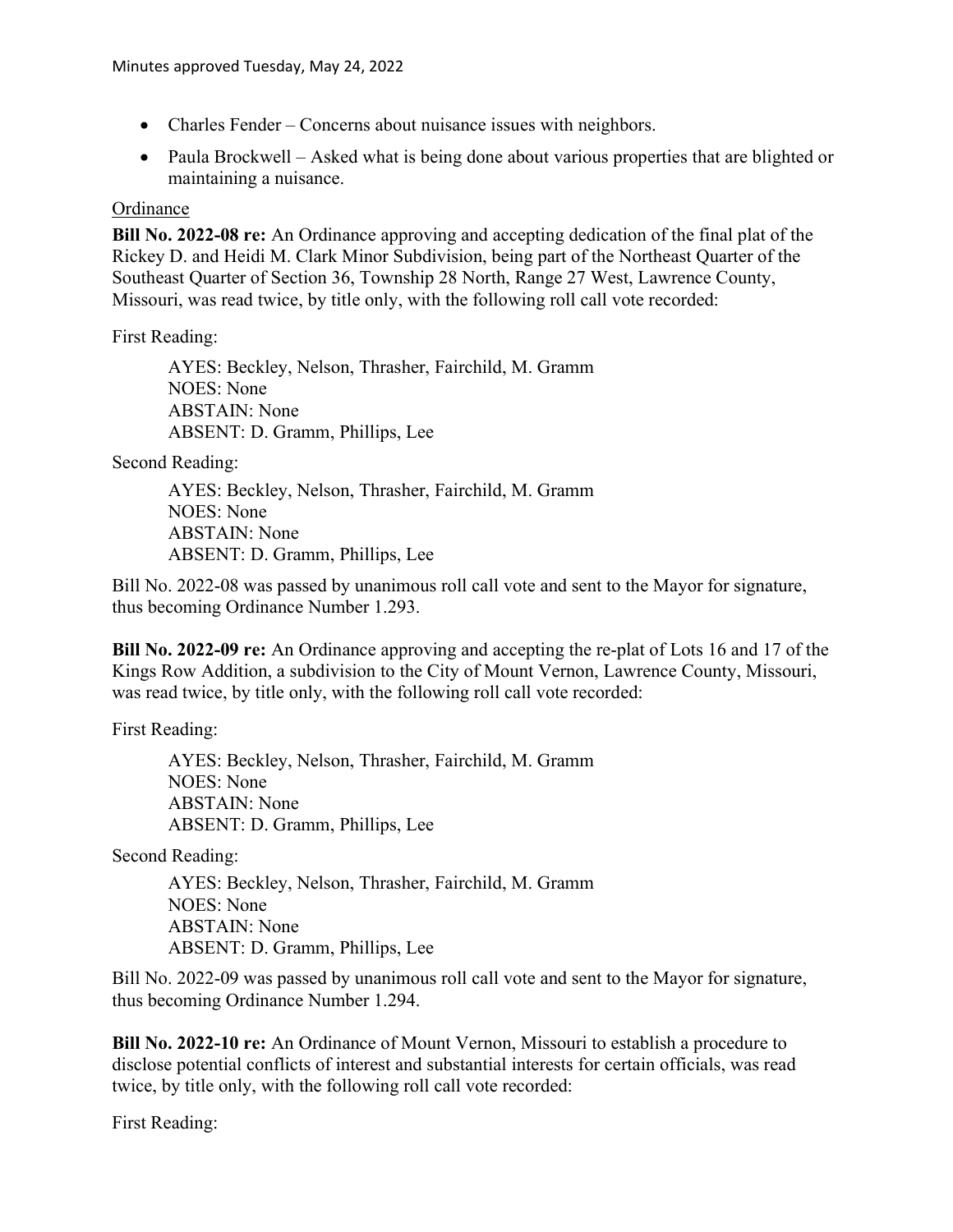- Charles Fender Concerns about nuisance issues with neighbors.
- Paula Brockwell Asked what is being done about various properties that are blighted or maintaining a nuisance.

#### **Ordinance**

Bill No. 2022-08 re: An Ordinance approving and accepting dedication of the final plat of the Rickey D. and Heidi M. Clark Minor Subdivision, being part of the Northeast Quarter of the Southeast Quarter of Section 36, Township 28 North, Range 27 West, Lawrence County, Missouri, was read twice, by title only, with the following roll call vote recorded:

First Reading:

AYES: Beckley, Nelson, Thrasher, Fairchild, M. Gramm NOES: None ABSTAIN: None ABSENT: D. Gramm, Phillips, Lee

Second Reading:

AYES: Beckley, Nelson, Thrasher, Fairchild, M. Gramm NOES: None ABSTAIN: None ABSENT: D. Gramm, Phillips, Lee

Bill No. 2022-08 was passed by unanimous roll call vote and sent to the Mayor for signature, thus becoming Ordinance Number 1.293.

Bill No. 2022-09 re: An Ordinance approving and accepting the re-plat of Lots 16 and 17 of the Kings Row Addition, a subdivision to the City of Mount Vernon, Lawrence County, Missouri, was read twice, by title only, with the following roll call vote recorded:

First Reading:

AYES: Beckley, Nelson, Thrasher, Fairchild, M. Gramm NOES: None ABSTAIN: None ABSENT: D. Gramm, Phillips, Lee

Second Reading:

AYES: Beckley, Nelson, Thrasher, Fairchild, M. Gramm NOES: None ABSTAIN: None ABSENT: D. Gramm, Phillips, Lee

Bill No. 2022-09 was passed by unanimous roll call vote and sent to the Mayor for signature, thus becoming Ordinance Number 1.294.

Bill No. 2022-10 re: An Ordinance of Mount Vernon, Missouri to establish a procedure to disclose potential conflicts of interest and substantial interests for certain officials, was read twice, by title only, with the following roll call vote recorded:

First Reading: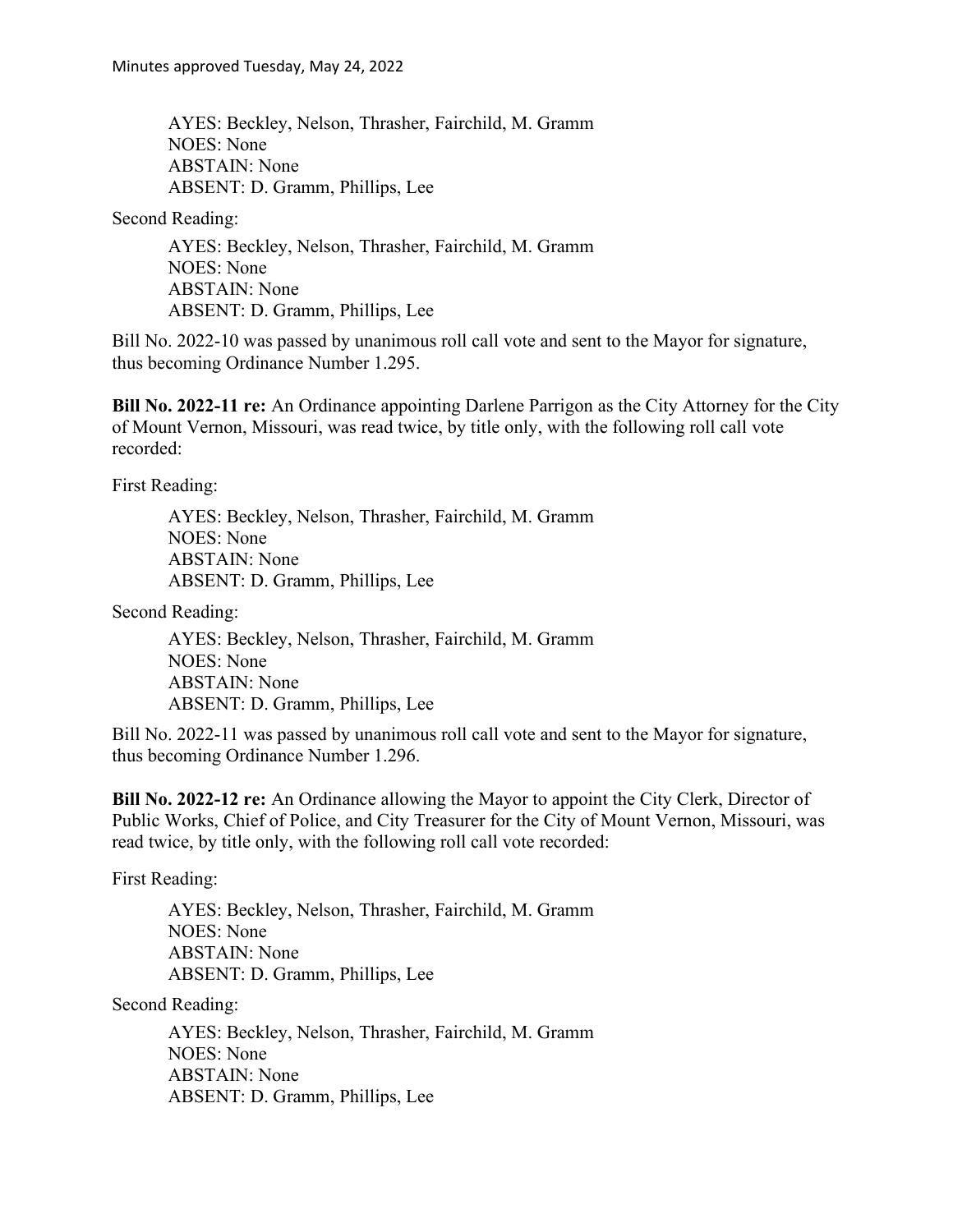AYES: Beckley, Nelson, Thrasher, Fairchild, M. Gramm NOES: None ABSTAIN: None ABSENT: D. Gramm, Phillips, Lee

Second Reading:

AYES: Beckley, Nelson, Thrasher, Fairchild, M. Gramm NOES: None ABSTAIN: None ABSENT: D. Gramm, Phillips, Lee

Bill No. 2022-10 was passed by unanimous roll call vote and sent to the Mayor for signature, thus becoming Ordinance Number 1.295.

Bill No. 2022-11 re: An Ordinance appointing Darlene Parrigon as the City Attorney for the City of Mount Vernon, Missouri, was read twice, by title only, with the following roll call vote recorded:

First Reading:

AYES: Beckley, Nelson, Thrasher, Fairchild, M. Gramm NOES: None ABSTAIN: None ABSENT: D. Gramm, Phillips, Lee

Second Reading:

AYES: Beckley, Nelson, Thrasher, Fairchild, M. Gramm NOES: None ABSTAIN: None ABSENT: D. Gramm, Phillips, Lee

Bill No. 2022-11 was passed by unanimous roll call vote and sent to the Mayor for signature, thus becoming Ordinance Number 1.296.

Bill No. 2022-12 re: An Ordinance allowing the Mayor to appoint the City Clerk, Director of Public Works, Chief of Police, and City Treasurer for the City of Mount Vernon, Missouri, was read twice, by title only, with the following roll call vote recorded:

First Reading:

AYES: Beckley, Nelson, Thrasher, Fairchild, M. Gramm NOES: None ABSTAIN: None ABSENT: D. Gramm, Phillips, Lee

Second Reading:

AYES: Beckley, Nelson, Thrasher, Fairchild, M. Gramm NOES: None ABSTAIN: None ABSENT: D. Gramm, Phillips, Lee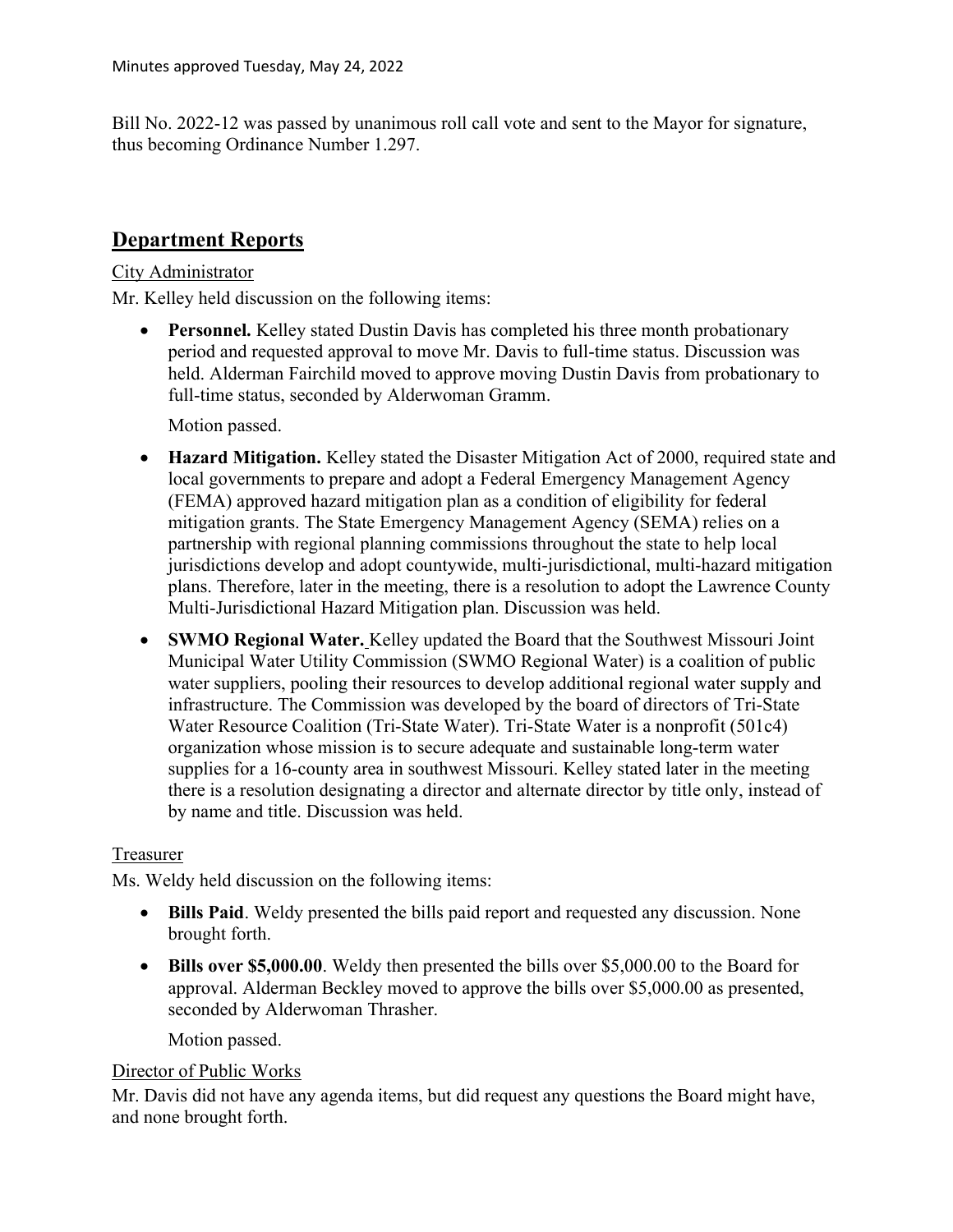Bill No. 2022-12 was passed by unanimous roll call vote and sent to the Mayor for signature, thus becoming Ordinance Number 1.297.

# Department Reports

#### City Administrator

Mr. Kelley held discussion on the following items:

• Personnel. Kelley stated Dustin Davis has completed his three month probationary period and requested approval to move Mr. Davis to full-time status. Discussion was held. Alderman Fairchild moved to approve moving Dustin Davis from probationary to full-time status, seconded by Alderwoman Gramm.

Motion passed.

- Hazard Mitigation. Kelley stated the Disaster Mitigation Act of 2000, required state and local governments to prepare and adopt a Federal Emergency Management Agency (FEMA) approved hazard mitigation plan as a condition of eligibility for federal mitigation grants. The State Emergency Management Agency (SEMA) relies on a partnership with regional planning commissions throughout the state to help local jurisdictions develop and adopt countywide, multi-jurisdictional, multi-hazard mitigation plans. Therefore, later in the meeting, there is a resolution to adopt the Lawrence County Multi-Jurisdictional Hazard Mitigation plan. Discussion was held.
- SWMO Regional Water. Kelley updated the Board that the Southwest Missouri Joint Municipal Water Utility Commission (SWMO Regional Water) is a coalition of public water suppliers, pooling their resources to develop additional regional water supply and infrastructure. The Commission was developed by the board of directors of Tri-State Water Resource Coalition (Tri-State Water). Tri-State Water is a nonprofit (501c4) organization whose mission is to secure adequate and sustainable long-term water supplies for a 16-county area in southwest Missouri. Kelley stated later in the meeting there is a resolution designating a director and alternate director by title only, instead of by name and title. Discussion was held.

#### Treasurer

Ms. Weldy held discussion on the following items:

- Bills Paid. Weldy presented the bills paid report and requested any discussion. None brought forth.
- Bills over \$5,000.00. Weldy then presented the bills over \$5,000.00 to the Board for approval. Alderman Beckley moved to approve the bills over \$5,000.00 as presented, seconded by Alderwoman Thrasher.

Motion passed.

#### Director of Public Works

Mr. Davis did not have any agenda items, but did request any questions the Board might have, and none brought forth.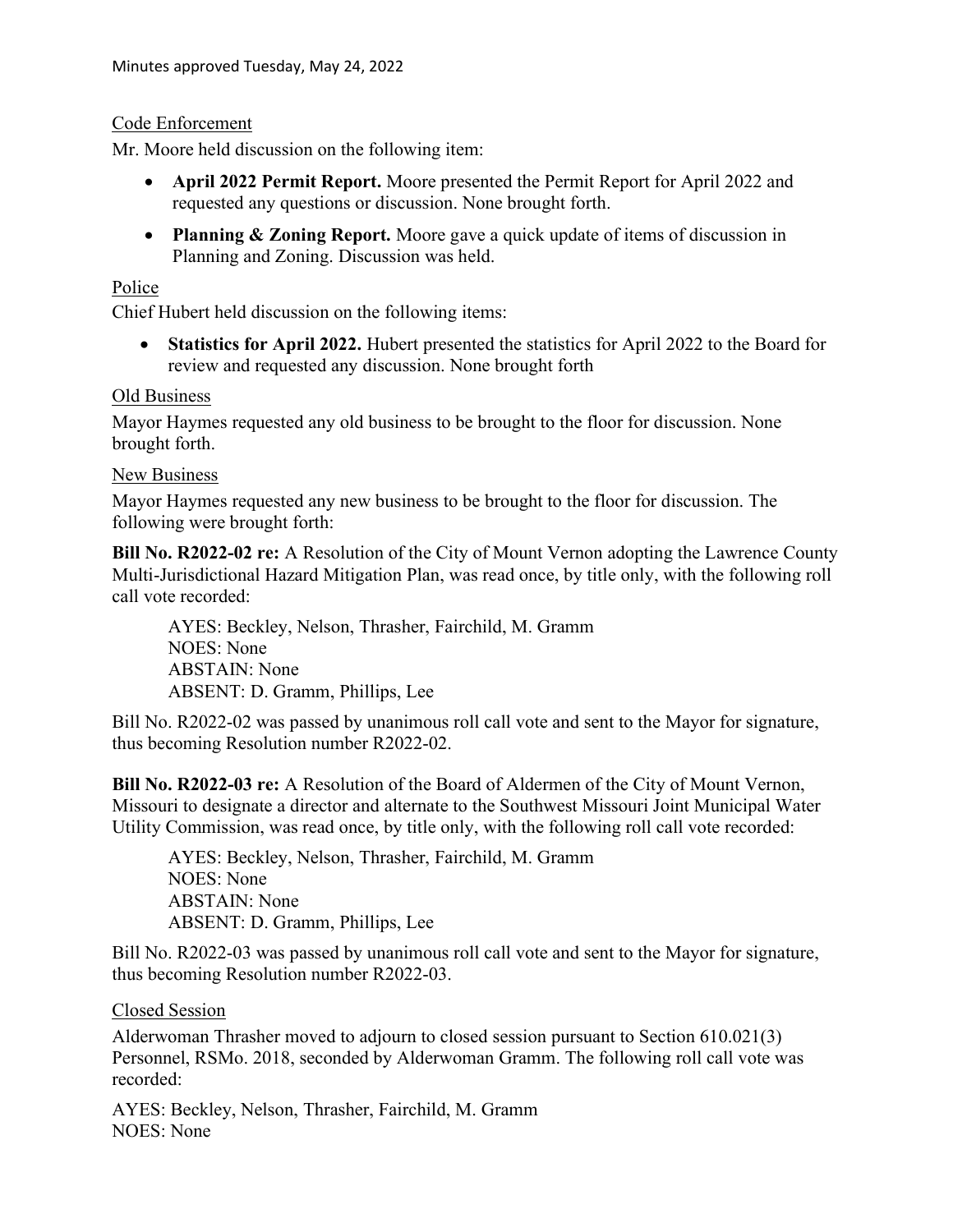### Code Enforcement

Mr. Moore held discussion on the following item:

- April 2022 Permit Report. Moore presented the Permit Report for April 2022 and requested any questions or discussion. None brought forth.
- Planning & Zoning Report. Moore gave a quick update of items of discussion in Planning and Zoning. Discussion was held.

### Police

Chief Hubert held discussion on the following items:

 Statistics for April 2022. Hubert presented the statistics for April 2022 to the Board for review and requested any discussion. None brought forth

### Old Business

Mayor Haymes requested any old business to be brought to the floor for discussion. None brought forth.

## New Business

Mayor Haymes requested any new business to be brought to the floor for discussion. The following were brought forth:

Bill No. R2022-02 re: A Resolution of the City of Mount Vernon adopting the Lawrence County Multi-Jurisdictional Hazard Mitigation Plan, was read once, by title only, with the following roll call vote recorded:

AYES: Beckley, Nelson, Thrasher, Fairchild, M. Gramm NOES: None ABSTAIN: None ABSENT: D. Gramm, Phillips, Lee

Bill No. R2022-02 was passed by unanimous roll call vote and sent to the Mayor for signature, thus becoming Resolution number R2022-02.

Bill No. R2022-03 re: A Resolution of the Board of Aldermen of the City of Mount Vernon, Missouri to designate a director and alternate to the Southwest Missouri Joint Municipal Water Utility Commission, was read once, by title only, with the following roll call vote recorded:

AYES: Beckley, Nelson, Thrasher, Fairchild, M. Gramm NOES: None ABSTAIN: None ABSENT: D. Gramm, Phillips, Lee

Bill No. R2022-03 was passed by unanimous roll call vote and sent to the Mayor for signature, thus becoming Resolution number R2022-03.

Closed Session

Alderwoman Thrasher moved to adjourn to closed session pursuant to Section 610.021(3) Personnel, RSMo. 2018, seconded by Alderwoman Gramm. The following roll call vote was recorded:

AYES: Beckley, Nelson, Thrasher, Fairchild, M. Gramm NOES: None